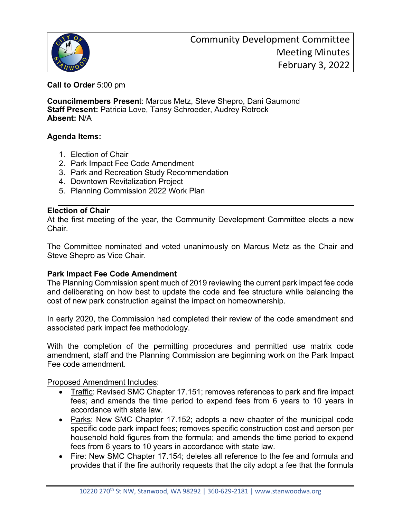

**Call to Order** 5:00 pm

**Councilmembers Presen**t: Marcus Metz, Steve Shepro, Dani Gaumond **Staff Present:** Patricia Love, Tansy Schroeder, Audrey Rotrock **Absent:** N/A

# **Agenda Items:**

- 1. Election of Chair
- 2. Park Impact Fee Code Amendment
- 3. Park and Recreation Study Recommendation
- 4. Downtown Revitalization Project
- 5. Planning Commission 2022 Work Plan

## **Election of Chair**

At the first meeting of the year, the Community Development Committee elects a new Chair.

The Committee nominated and voted unanimously on Marcus Metz as the Chair and Steve Shepro as Vice Chair.

## **Park Impact Fee Code Amendment**

The Planning Commission spent much of 2019 reviewing the current park impact fee code and deliberating on how best to update the code and fee structure while balancing the cost of new park construction against the impact on homeownership.

In early 2020, the Commission had completed their review of the code amendment and associated park impact fee methodology.

With the completion of the permitting procedures and permitted use matrix code amendment, staff and the Planning Commission are beginning work on the Park Impact Fee code amendment.

Proposed Amendment Includes:

- Traffic: Revised SMC Chapter 17.151; removes references to park and fire impact fees; and amends the time period to expend fees from 6 years to 10 years in accordance with state law.
- Parks: New SMC Chapter 17.152; adopts a new chapter of the municipal code specific code park impact fees; removes specific construction cost and person per household hold figures from the formula; and amends the time period to expend fees from 6 years to 10 years in accordance with state law.
- Fire: New SMC Chapter 17.154; deletes all reference to the fee and formula and provides that if the fire authority requests that the city adopt a fee that the formula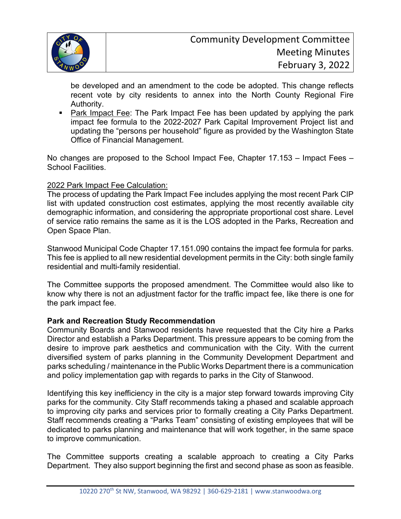

be developed and an amendment to the code be adopted. This change reflects recent vote by city residents to annex into the North County Regional Fire Authority.

**Park Impact Fee: The Park Impact Fee has been updated by applying the park** impact fee formula to the 2022-2027 Park Capital Improvement Project list and updating the "persons per household" figure as provided by the Washington State Office of Financial Management.

No changes are proposed to the School Impact Fee, Chapter 17.153 – Impact Fees – School Facilities.

## 2022 Park Impact Fee Calculation:

The process of updating the Park Impact Fee includes applying the most recent Park CIP list with updated construction cost estimates, applying the most recently available city demographic information, and considering the appropriate proportional cost share. Level of service ratio remains the same as it is the LOS adopted in the Parks, Recreation and Open Space Plan.

Stanwood Municipal Code Chapter 17.151.090 contains the impact fee formula for parks. This fee is applied to all new residential development permits in the City: both single family residential and multi-family residential.

The Committee supports the proposed amendment. The Committee would also like to know why there is not an adjustment factor for the traffic impact fee, like there is one for the park impact fee.

## **Park and Recreation Study Recommendation**

Community Boards and Stanwood residents have requested that the City hire a Parks Director and establish a Parks Department. This pressure appears to be coming from the desire to improve park aesthetics and communication with the City. With the current diversified system of parks planning in the Community Development Department and parks scheduling / maintenance in the Public Works Department there is a communication and policy implementation gap with regards to parks in the City of Stanwood.

Identifying this key inefficiency in the city is a major step forward towards improving City parks for the community. City Staff recommends taking a phased and scalable approach to improving city parks and services prior to formally creating a City Parks Department. Staff recommends creating a "Parks Team" consisting of existing employees that will be dedicated to parks planning and maintenance that will work together, in the same space to improve communication.

The Committee supports creating a scalable approach to creating a City Parks Department. They also support beginning the first and second phase as soon as feasible.